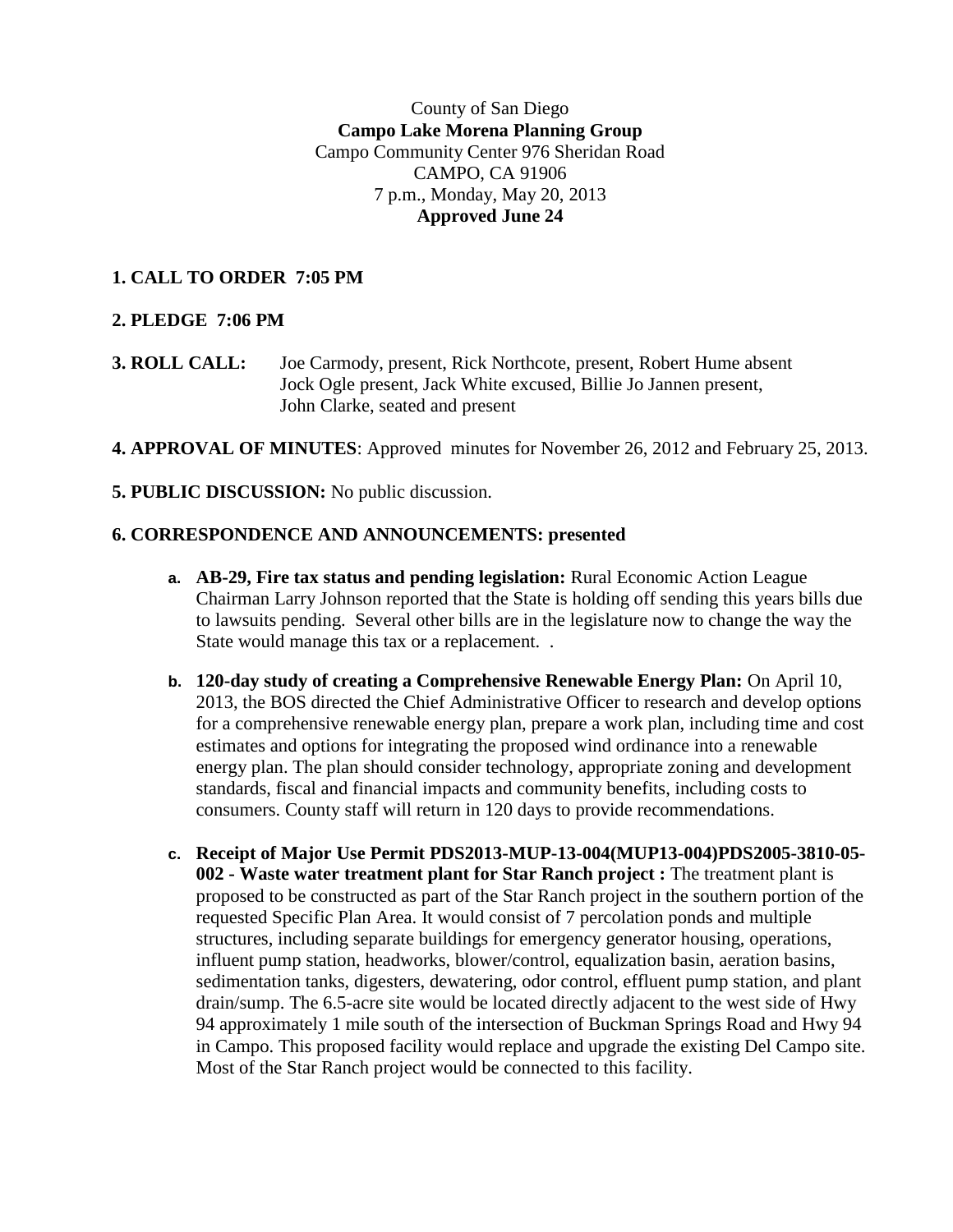County of San Diego **Campo Lake Morena Planning Group** Campo Community Center 976 Sheridan Road CAMPO, CA 91906 7 p.m., Monday, May 20, 2013 **Approved June 24**

## **1. CALL TO ORDER 7:05 PM**

### **2. PLEDGE 7:06 PM**

- **3. ROLL CALL:** Joe Carmody, present, Rick Northcote, present, Robert Hume absent Jock Ogle present, Jack White excused, Billie Jo Jannen present, John Clarke, seated and present
- **4. APPROVAL OF MINUTES**: Approved minutes for November 26, 2012 and February 25, 2013.
- **5. PUBLIC DISCUSSION:** No public discussion.

### **6. CORRESPONDENCE AND ANNOUNCEMENTS: presented**

- **a. AB-29, Fire tax status and pending legislation:** Rural Economic Action League Chairman Larry Johnson reported that the State is holding off sending this years bills due to lawsuits pending. Several other bills are in the legislature now to change the way the State would manage this tax or a replacement. .
- **b. 120-day study of creating a Comprehensive Renewable Energy Plan:** On April 10, 2013, the BOS directed the Chief Administrative Officer to research and develop options for a comprehensive renewable energy plan, prepare a work plan, including time and cost estimates and options for integrating the proposed wind ordinance into a renewable energy plan. The plan should consider technology, appropriate zoning and development standards, fiscal and financial impacts and community benefits, including costs to consumers. County staff will return in 120 days to provide recommendations.
- **c. Receipt of Major Use Permit PDS2013-MUP-13-004(MUP13-004)PDS2005-3810-05- 002 - Waste water treatment plant for Star Ranch project :** The treatment plant is proposed to be constructed as part of the Star Ranch project in the southern portion of the requested Specific Plan Area. It would consist of 7 percolation ponds and multiple structures, including separate buildings for emergency generator housing, operations, influent pump station, headworks, blower/control, equalization basin, aeration basins, sedimentation tanks, digesters, dewatering, odor control, effluent pump station, and plant drain/sump. The 6.5-acre site would be located directly adjacent to the west side of Hwy 94 approximately 1 mile south of the intersection of Buckman Springs Road and Hwy 94 in Campo. This proposed facility would replace and upgrade the existing Del Campo site. Most of the Star Ranch project would be connected to this facility.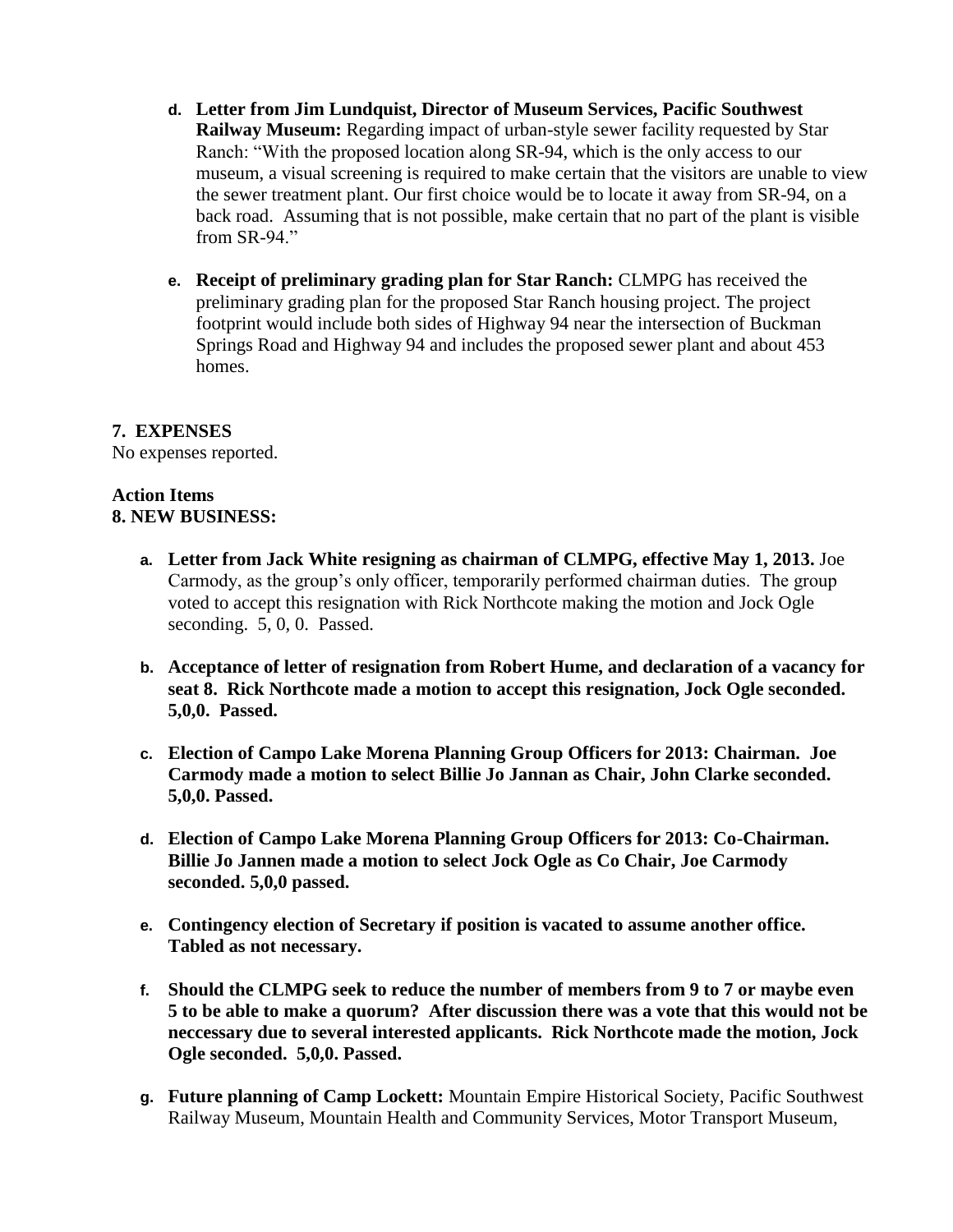- **d. Letter from Jim Lundquist, Director of Museum Services, Pacific Southwest Railway Museum:** Regarding impact of urban-style sewer facility requested by Star Ranch: "With the proposed location along SR-94, which is the only access to our museum, a visual screening is required to make certain that the visitors are unable to view the sewer treatment plant. Our first choice would be to locate it away from SR-94, on a back road. Assuming that is not possible, make certain that no part of the plant is visible from SR-94"
- **e. Receipt of preliminary grading plan for Star Ranch:** CLMPG has received the preliminary grading plan for the proposed Star Ranch housing project. The project footprint would include both sides of Highway 94 near the intersection of Buckman Springs Road and Highway 94 and includes the proposed sewer plant and about 453 homes.

# **7. EXPENSES**

No expenses reported.

#### **Action Items 8. NEW BUSINESS:**

- **a. Letter from Jack White resigning as chairman of CLMPG, effective May 1, 2013.** Joe Carmody, as the group's only officer, temporarily performed chairman duties. The group voted to accept this resignation with Rick Northcote making the motion and Jock Ogle seconding. 5, 0, 0. Passed.
- **b. Acceptance of letter of resignation from Robert Hume, and declaration of a vacancy for seat 8. Rick Northcote made a motion to accept this resignation, Jock Ogle seconded. 5,0,0. Passed.**
- **c. Election of Campo Lake Morena Planning Group Officers for 2013: Chairman. Joe Carmody made a motion to select Billie Jo Jannan as Chair, John Clarke seconded. 5,0,0. Passed.**
- **d. Election of Campo Lake Morena Planning Group Officers for 2013: Co-Chairman. Billie Jo Jannen made a motion to select Jock Ogle as Co Chair, Joe Carmody seconded. 5,0,0 passed.**
- **e. Contingency election of Secretary if position is vacated to assume another office. Tabled as not necessary.**
- **f. Should the CLMPG seek to reduce the number of members from 9 to 7 or maybe even 5 to be able to make a quorum? After discussion there was a vote that this would not be neccessary due to several interested applicants. Rick Northcote made the motion, Jock Ogle seconded. 5,0,0. Passed.**
- **g. Future planning of Camp Lockett:** Mountain Empire Historical Society, Pacific Southwest Railway Museum, Mountain Health and Community Services, Motor Transport Museum,